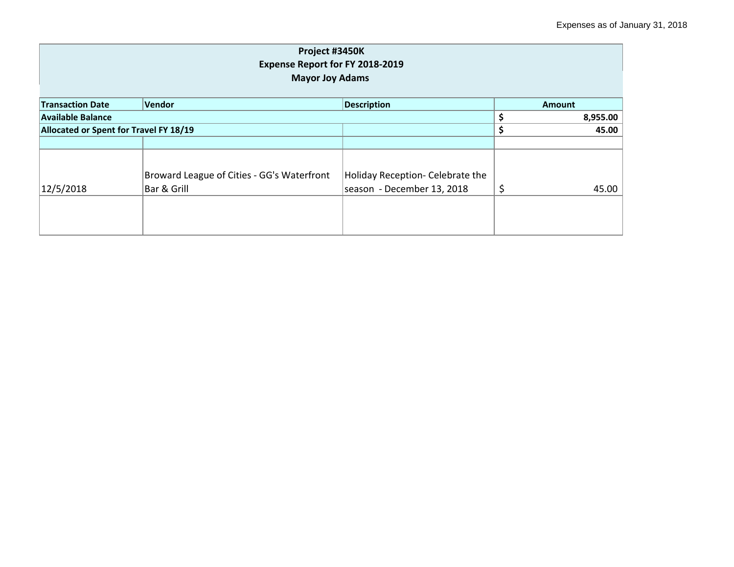| Project #3450K<br><b>Expense Report for FY 2018-2019</b><br><b>Mayor Joy Adams</b> |                                            |                                  |               |  |  |
|------------------------------------------------------------------------------------|--------------------------------------------|----------------------------------|---------------|--|--|
| <b>Transaction Date</b>                                                            | Vendor                                     | <b>Description</b>               | <b>Amount</b> |  |  |
| <b>Available Balance</b>                                                           | \$<br>8,955.00                             |                                  |               |  |  |
| Allocated or Spent for Travel FY 18/19                                             |                                            |                                  | \$<br>45.00   |  |  |
|                                                                                    |                                            |                                  |               |  |  |
|                                                                                    | Broward League of Cities - GG's Waterfront | Holiday Reception- Celebrate the |               |  |  |
| 12/5/2018                                                                          | Bar & Grill                                | season - December 13, 2018       | \$<br>45.00   |  |  |
|                                                                                    |                                            |                                  |               |  |  |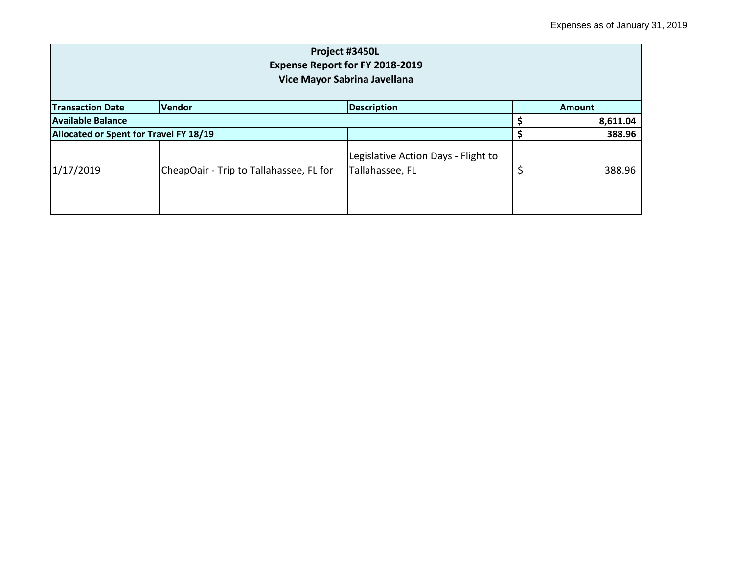| Project #3450L<br>Expense Report for FY 2018-2019<br>Vice Mayor Sabrina Javellana |                                         |                                                        |  |          |  |
|-----------------------------------------------------------------------------------|-----------------------------------------|--------------------------------------------------------|--|----------|--|
| Vendor<br><b>Description</b><br><b>Transaction Date</b><br>Amount                 |                                         |                                                        |  |          |  |
| Available Balance                                                                 |                                         |                                                        |  | 8,611.04 |  |
| Allocated or Spent for Travel FY 18/19                                            |                                         |                                                        |  | 388.96   |  |
| 1/17/2019                                                                         | CheapOair - Trip to Tallahassee, FL for | Legislative Action Days - Flight to<br>Tallahassee, FL |  | 388.96   |  |
|                                                                                   |                                         |                                                        |  |          |  |
|                                                                                   |                                         |                                                        |  |          |  |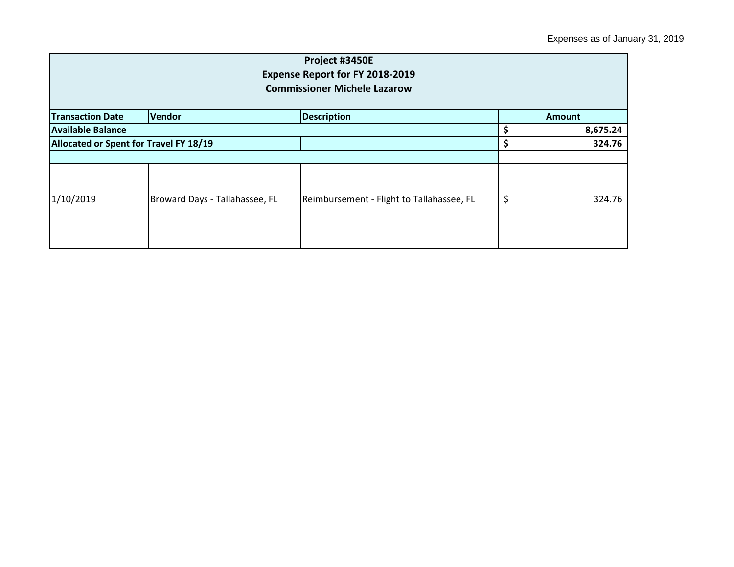| Project #3450E<br><b>Expense Report for FY 2018-2019</b><br><b>Commissioner Michele Lazarow</b> |                                |                                           |    |          |  |
|-------------------------------------------------------------------------------------------------|--------------------------------|-------------------------------------------|----|----------|--|
| <b>Transaction Date</b>                                                                         | <b>Amount</b>                  |                                           |    |          |  |
| <b>Available Balance</b>                                                                        |                                |                                           |    | 8,675.24 |  |
| Allocated or Spent for Travel FY 18/19                                                          |                                |                                           |    | 324.76   |  |
|                                                                                                 |                                |                                           |    |          |  |
| 1/10/2019                                                                                       | Broward Days - Tallahassee, FL | Reimbursement - Flight to Tallahassee, FL | \$ | 324.76   |  |
|                                                                                                 |                                |                                           |    |          |  |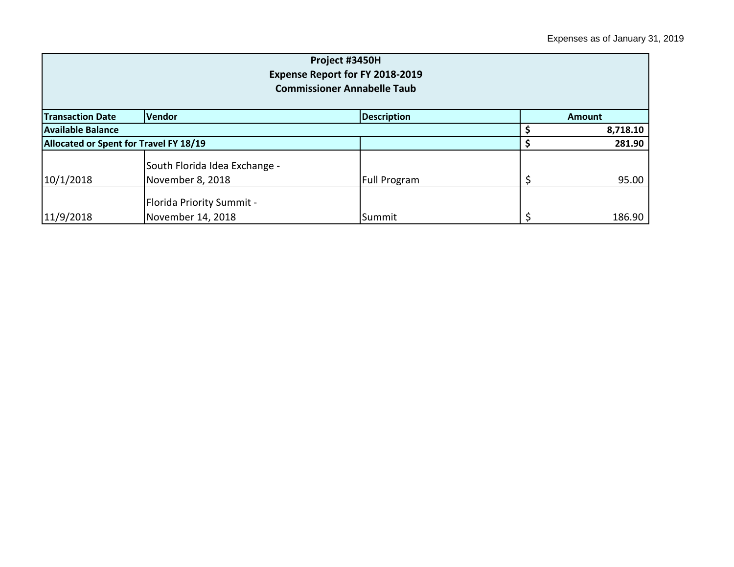| Project #3450H<br>Expense Report for FY 2018-2019<br><b>Commissioner Annabelle Taub</b> |                                                       |              |  |          |  |
|-----------------------------------------------------------------------------------------|-------------------------------------------------------|--------------|--|----------|--|
| <b>Description</b><br><b>Transaction Date</b><br><b>Vendor</b><br><b>Amount</b>         |                                                       |              |  |          |  |
| <b>Available Balance</b>                                                                |                                                       |              |  | 8,718.10 |  |
|                                                                                         | Allocated or Spent for Travel FY 18/19                |              |  | 281.90   |  |
| 10/1/2018                                                                               | South Florida Idea Exchange -<br>November 8, 2018     | Full Program |  | 95.00    |  |
| 11/9/2018                                                                               | <b>Florida Priority Summit -</b><br>November 14, 2018 | Summit       |  | 186.90   |  |